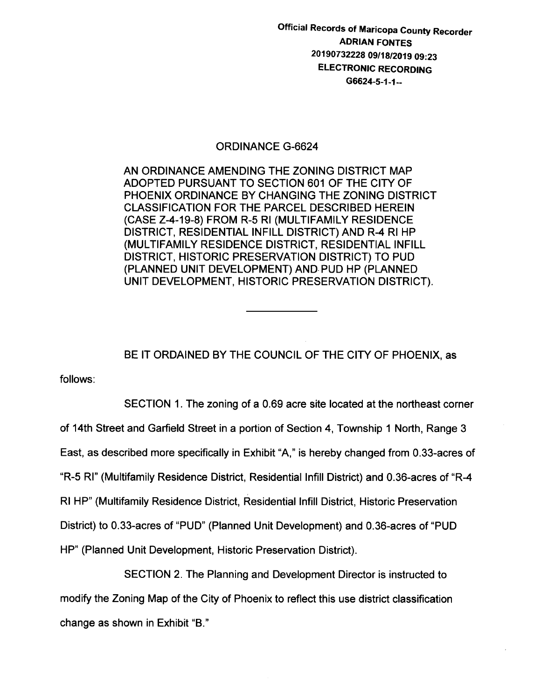Official Records of Maricopa County Recorder ADRIAN FONTES 20190732228 09/18/2019 09:23 ELECTRONIC RECORDING G6624-5-1-1--

## ORDINANCE G-6624

AN ORDINANCE AMENDING THE ZONING DISTRICT MAP ADOPTED PURSUANT TO SECTION 601 OF THE CITY OF PHOENIX ORDINANCE BY CHANGING THE ZONING DISTRICT CLASSIFICATION FOR THE PARCEL DESCRIBED HEREIN (CASE Z-4-19-8) FROM R-5 Rl (MULTIFAMILY RESIDENCE DISTRICT, RESIDENTIAL INFILL DISTRICT) AND R-4 Rl HP (MULTIFAMILY RESIDENCE DISTRICT, RESIDENTIAL INFILL DISTRICT, HISTORIC PRESERVATION DISTRICT) TO PUD (PLANNED UNIT DEVELOPMENT) AND. PUD HP (PLANNED UNIT DEVELOPMENT, HISTORIC PRESERVATION DISTRICT).

BE IT ORDAINED BY THE COUNCIL OF THE CITY OF PHOENIX, as

follows:

SECTION 1. The zoning of a 0.69 acre site located at the northeast corner of 14th Street and Garfield Street in a portion of Section 4, Township 1 North, Range 3 East, as described more specifically in Exhibit "A," is hereby changed from 0.33-acres of "R-5 Rl" (Multifamily Residence District, Residential lnfill District) and 0.36-acres of "R-4 Rl HP" (Multifamily Residence District, Residentiallnfill District, Historic Preservation District) to 0.33-acres of "PUD" (Planned Unit Development) and 0.36-acres of "PUD HP" (Planned Unit Development, Historic Preservation District).

SECTION 2. The Planning and Development Director is instructed to modify the Zoning Map of the City of Phoenix to reflect this use district classification change as shown in Exhibit "B."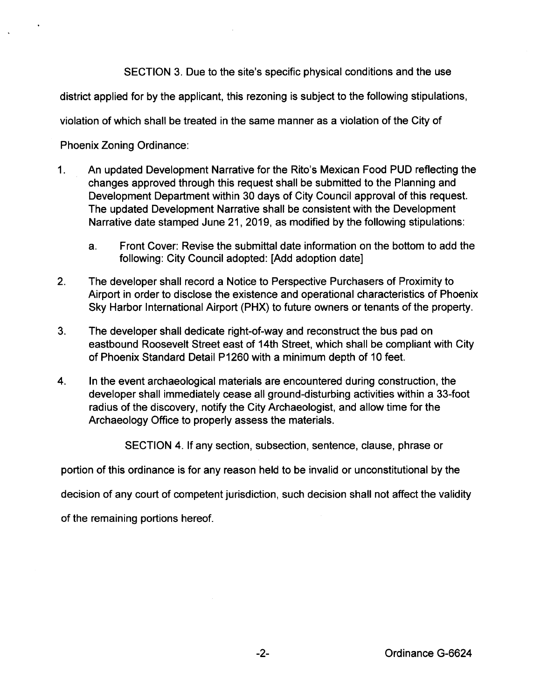SECTION 3. Due to the site's specific physical conditions and the use

district applied for by the applicant, this rezoning is subject to the following stipulations,

violation of which shall be treated in the same manner as a violation of the City of

Phoenix Zoning Ordinance:

- 1. An updated Development Narrative for the Rita's Mexican Food PUD reflecting the changes approved through this request shall be submitted to the Planning and Development Department within 30 days of City Council approval of this request. The updated Development Narrative shall be consistent with the Development Narrative date stamped June 21, 2019, as modified by the following stipulations:
	- a. Front Cover: Revise the submittal date information on the bottom to add the following: City Council adopted: [Add adoption date]
- 2. The developer shall record a Notice to Perspective Purchasers of Proximity to Airport in order to disclose the existence and operational characteristics of Phoenix Sky Harbor International Airport (PHX) to future owners or tenants of the property.
- 3. The developer shall dedicate right-of-way and reconstruct the bus pad on eastbound Roosevelt Street east of 14th Street, which shall be compliant with City of Phoenix Standard Detail P1260 with a minimum depth of 10 feet.
- 4. In the event archaeological materials are encountered during construction, the developer shall immediately cease all ground-disturbing activities within a 33-foot radius of the discovery, notify the City Archaeologist, and allow time for the Archaeology Office to properly assess the materials.

SECTION 4. If any section, subsection, sentence, clause, phrase or

portion of this ordinance is for any reason held to be invalid or unconstitutional by the

decision of any court of competent jurisdiction, such decision shall not affect the validity

of the remaining portions hereof.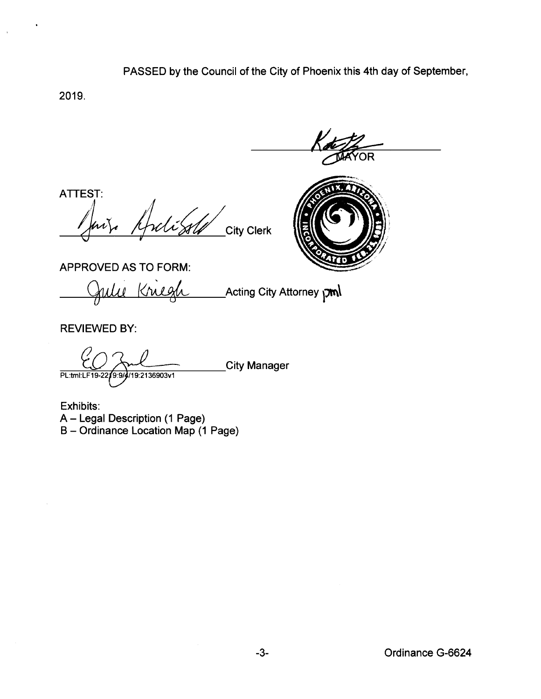## PASSED by the Council of the City of Phoenix this 4th day of September,

2019.

 $\mathbf{t}$ 

ATTEST:

**City Clerk** 



APPROVED AS TO FORM:

Krus Acting City Attorney pml  $\theta$ 

**REVIEWED BY:** 

**City Manager** 

PL:tml:LF19-22;  $\sqrt{9.9}$ /19:2136903v1

Exhibits: A - Legal Description (1 Page) B - Ordinance Location Map (1 Page)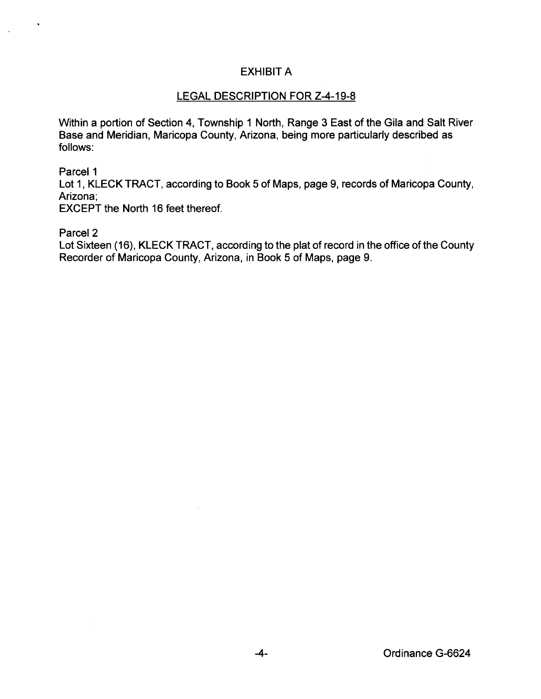## EXHIBIT A

## LEGAL DESCRIPTION FOR Z-4-19-8

Within a portion of Section 4, Township 1 North, Range 3 East of the Gila and Salt River Base and Meridian, Maricopa County, Arizona, being more particularly described as follows:

Parcel 1

 $\ddot{\phantom{0}}$ 

Lot 1, KLECK TRACT, according to Book 5 of Maps, page 9, records of Maricopa County, Arizona;

EXCEPT the North 16 feet thereof.

Parcel<sub>2</sub>

Lot Sixteen (16), KLECK TRACT, according to the plat of record in the office of the County Recorder of Maricopa County, Arizona, in Book 5 of Maps, page 9.